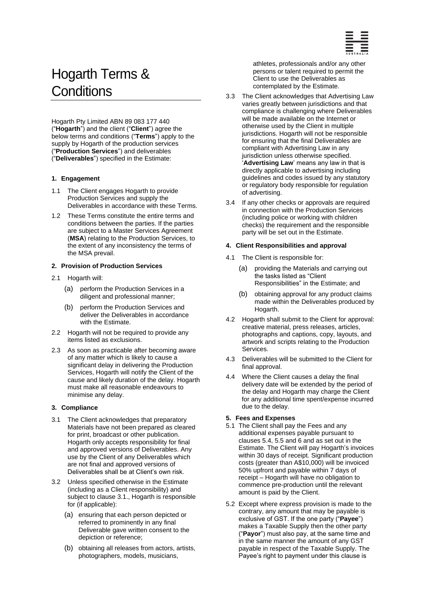

# Hogarth Terms & **Conditions**

Hogarth Pty Limited ABN 89 083 177 440 ("**Hogarth**") and the client ("**Client**") agree the below terms and conditions ("**Terms**") apply to the supply by Hogarth of the production services ("**Production Services**") and deliverables ("**Deliverables**") specified in the Estimate:

## **1. Engagement**

- 1.1 The Client engages Hogarth to provide Production Services and supply the Deliverables in accordance with these Terms.
- 1.2 These Terms constitute the entire terms and conditions between the parties. If the parties are subject to a Master Services Agreement (**MSA**) relating to the Production Services, to the extent of any inconsistency the terms of the MSA prevail.

# **2. Provision of Production Services**

- 2.1 Hogarth will:
	- (a) perform the Production Services in a diligent and professional manner;
	- (b) perform the Production Services and deliver the Deliverables in accordance with the Estimate.
- 2.2 Hogarth will not be required to provide any items listed as exclusions.
- 2.3 As soon as practicable after becoming aware of any matter which is likely to cause a significant delay in delivering the Production Services, Hogarth will notify the Client of the cause and likely duration of the delay. Hogarth must make all reasonable endeavours to minimise any delay.

## **3. Compliance**

- <span id="page-0-0"></span>3.1 The Client acknowledges that preparatory Materials have not been prepared as cleared for print, broadcast or other publication. Hogarth only accepts responsibility for final and approved versions of Deliverables. Any use by the Client of any Deliverables which are not final and approved versions of Deliverables shall be at Client's own risk.
- 3.2 Unless specified otherwise in the Estimate (including as a Client responsibility) and subject to clause [3.1.](#page-0-0), Hogarth is responsible for (if applicable):
	- (a) ensuring that each person depicted or referred to prominently in any final Deliverable gave written consent to the depiction or reference;
	- (b) obtaining all releases from actors, artists, photographers, models, musicians,

athletes, professionals and/or any other persons or talent required to permit the Client to use the Deliverables as contemplated by the Estimate.

- 3.3 The Client acknowledges that Advertising Law varies greatly between jurisdictions and that compliance is challenging where Deliverables will be made available on the Internet or otherwise used by the Client in multiple jurisdictions. Hogarth will not be responsible for ensuring that the final Deliverables are compliant with Advertising Law in any jurisdiction unless otherwise specified. '**Advertising Law**' means any law in that is directly applicable to advertising including guidelines and codes issued by any statutory or regulatory body responsible for regulation of advertising.
- 3.4 If any other checks or approvals are required in connection with the Production Services (including police or working with children checks) the requirement and the responsible party will be set out in the Estimate.

## **4. Client Responsibilities and approval**

- 4.1 The Client is responsible for:
	- (a) providing the Materials and carrying out the tasks listed as "Client Responsibilities" in the Estimate; and
	- obtaining approval for any product claims made within the Deliverables produced by Hogarth.
- 4.2 Hogarth shall submit to the Client for approval: creative material, press releases, articles, photographs and captions, copy, layouts, and artwork and scripts relating to the Production Services.
- 4.3 Deliverables will be submitted to the Client for final approval.
- 4.4 Where the Client causes a delay the final delivery date will be extended by the period of the delay and Hogarth may charge the Client for any additional time spent/expense incurred due to the delay.

## **5. Fees and Expenses**

- 5.1 The Client shall pay the Fees and any additional expenses payable pursuant to clauses 5.4, 5.5 and 6 and as set out in the Estimate. The Client will pay Hogarth's invoices within 30 days of receipt. Significant production costs (greater than A\$10,000) will be invoiced 50% upfront and payable within 7 days of receipt – Hogarth will have no obligation to commence pre-production until the relevant amount is paid by the Client.
- 5.2 Except where express provision is made to the contrary, any amount that may be payable is exclusive of GST. If the one party ("**Payee**") makes a Taxable Supply then the other party ("**Payor**") must also pay, at the same time and in the same manner the amount of any GST payable in respect of the Taxable Supply. The Payee's right to payment under this clause is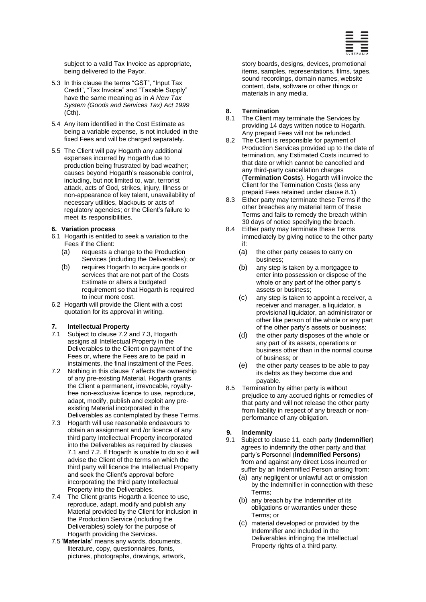

subject to a valid Tax Invoice as appropriate, being delivered to the Payor.

- 5.3 In this clause the terms "GST", "Input Tax Credit", "Tax Invoice" and "Taxable Supply" have the same meaning as in *A New Tax System (Goods and Services Tax) Act 1999* (Cth).
- 5.4 Any item identified in the Cost Estimate as being a variable expense, is not included in the fixed Fees and will be charged separately.
- 5.5 The Client will pay Hogarth any additional expenses incurred by Hogarth due to production being frustrated by bad weather; causes beyond Hogarth's reasonable control, including, but not limited to, war, terrorist attack, acts of God, strikes, injury, Illness or non-appearance of key talent, unavailability of necessary utilities, blackouts or acts of regulatory agencies; or the Client's failure to meet its responsibilities.

#### **6. Variation process**

- 6.1 Hogarth is entitled to seek a variation to the Fees if the Client:
	- (a) requests a change to the Production Services (including the Deliverables); or
	- (b) requires Hogarth to acquire goods or services that are not part of the Costs Estimate or alters a budgeted requirement so that Hogarth is required to incur more cost.
- 6.2 Hogarth will provide the Client with a cost quotation for its approval in writing.

#### <span id="page-1-2"></span>**7. Intellectual Property**

- <span id="page-1-3"></span>7.1 Subject to claus[e 7.2](#page-1-0) and [7.3,](#page-1-1) Hogarth assigns all Intellectual Property in the Deliverables to the Client on payment of the Fees or, where the Fees are to be paid in instalments, the final instalment of the Fees.
- <span id="page-1-0"></span>7.2 Nothing in this claus[e 7](#page-1-2) affects the ownership of any pre-existing Material. Hogarth grants the Client a permanent, irrevocable, royaltyfree non-exclusive licence to use, reproduce, adapt, modify, publish and exploit any preexisting Material incorporated in the Deliverables as contemplated by these Terms.
- <span id="page-1-1"></span>7.3 Hogarth will use reasonable endeavours to obtain an assignment and /or licence of any third party Intellectual Property incorporated into the Deliverables as required by clauses [7.1](#page-1-3) and [7.2.](#page-1-0) If Hogarth is unable to do so it will advise the Client of the terms on which the third party will licence the Intellectual Property and seek the Client's approval before incorporating the third party Intellectual Property into the Deliverables.
- 7.4 The Client grants Hogarth a licence to use, reproduce, adapt, modify and publish any Material provided by the Client for inclusion in the Production Service (including the Deliverables) solely for the purpose of Hogarth providing the Services.
- 7.5 '**Materials'** means any words, documents, literature, copy, questionnaires, fonts, pictures, photographs, drawings, artwork,

story boards, designs, devices, promotional items, samples, representations, films, tapes, sound recordings, domain names, website content, data, software or other things or materials in any media.

#### **8. Termination**

- <span id="page-1-4"></span>8.1 The Client may terminate the Services by providing 14 days written notice to Hogarth. Any prepaid Fees will not be refunded.
- 8.2 The Client is responsible for payment of Production Services provided up to the date of termination, any Estimated Costs incurred to that date or which cannot be cancelled and any third-party cancellation charges (**Termination Costs**). Hogarth will invoice the Client for the Termination Costs (less any prepaid Fees retained under clause [8.1\)](#page-1-4)
- 8.3 Either party may terminate these Terms if the other breaches any material term of these Terms and fails to remedy the breach within 30 days of notice specifying the breach.
- 8.4 Either party may terminate these Terms immediately by giving notice to the other party if:
	- (a) the other party ceases to carry on business;
	- (b) any step is taken by a mortgagee to enter into possession or dispose of the whole or any part of the other party's assets or business;
	- (c) any step is taken to appoint a receiver, a receiver and manager, a liquidator, a provisional liquidator, an administrator or other like person of the whole or any part of the other party's assets or business;
	- (d) the other party disposes of the whole or any part of its assets, operations or business other than in the normal course of business; or
	- (e) the other party ceases to be able to pay its debts as they become due and payable.
- 8.5 Termination by either party is without prejudice to any accrued rights or remedies of that party and will not release the other party from liability in respect of any breach or nonperformance of any obligation.

## **9. Indemnity**

- 9.1 Subject to clause 11, each party (**Indemnifier**) agrees to indemnify the other party and that party's Personnel (**Indemnified Persons**) from and against any direct Loss incurred or suffer by an Indemnified Person arising from:
	- (a) any negligent or unlawful act or omission by the Indemnifier in connection with these Terms;
	- (b) any breach by the Indemnifier of its obligations or warranties under these Terms; or
	- (c) material developed or provided by the Indemnifier and included in the Deliverables infringing the Intellectual Property rights of a third party.